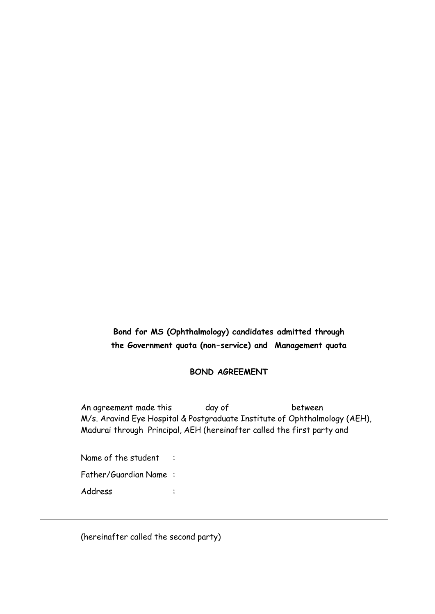## **Bond for MS (Ophthalmology) candidates admitted through the Government quota (non-service) and Management quota**

## **BOND AGREEMENT**

An agreement made this day of between M/s. Aravind Eye Hospital & Postgraduate Institute of Ophthalmology (AEH), Madurai through Principal, AEH (hereinafter called the first party and

Name of the student : Father/Guardian Name : Address :

(hereinafter called the second party)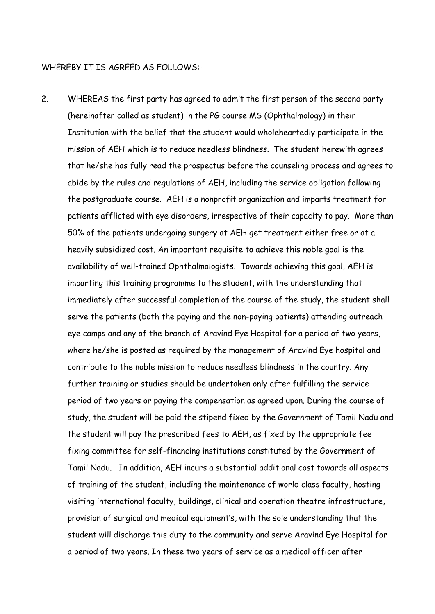## WHEREBY IT IS AGREED AS FOLLOWS:-

2. WHEREAS the first party has agreed to admit the first person of the second party (hereinafter called as student) in the PG course MS (Ophthalmology) in their Institution with the belief that the student would wholeheartedly participate in the mission of AEH which is to reduce needless blindness. The student herewith agrees that he/she has fully read the prospectus before the counseling process and agrees to abide by the rules and regulations of AEH, including the service obligation following the postgraduate course. AEH is a nonprofit organization and imparts treatment for patients afflicted with eye disorders, irrespective of their capacity to pay. More than 50% of the patients undergoing surgery at AEH get treatment either free or at a heavily subsidized cost. An important requisite to achieve this noble goal is the availability of well-trained Ophthalmologists. Towards achieving this goal, AEH is imparting this training programme to the student, with the understanding that immediately after successful completion of the course of the study, the student shall serve the patients (both the paying and the non-paying patients) attending outreach eye camps and any of the branch of Aravind Eye Hospital for a period of two years, where he/she is posted as required by the management of Aravind Eye hospital and contribute to the noble mission to reduce needless blindness in the country. Any further training or studies should be undertaken only after fulfilling the service period of two years or paying the compensation as agreed upon. During the course of study, the student will be paid the stipend fixed by the Government of Tamil Nadu and the student will pay the prescribed fees to AEH, as fixed by the appropriate fee fixing committee for self-financing institutions constituted by the Government of Tamil Nadu. In addition, AEH incurs a substantial additional cost towards all aspects of training of the student, including the maintenance of world class faculty, hosting visiting international faculty, buildings, clinical and operation theatre infrastructure, provision of surgical and medical equipment's, with the sole understanding that the student will discharge this duty to the community and serve Aravind Eye Hospital for a period of two years. In these two years of service as a medical officer after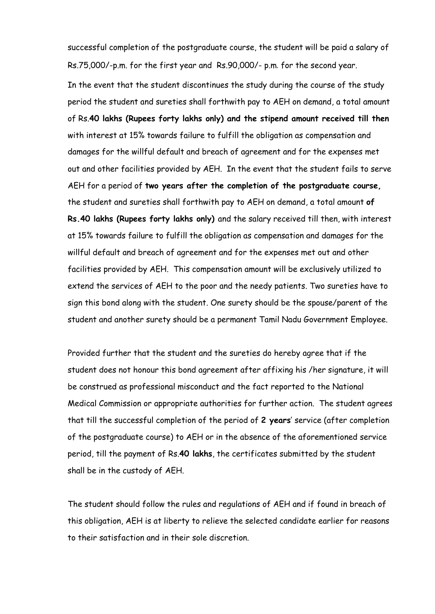successful completion of the postgraduate course, the student will be paid a salary of Rs.75,000/-p.m. for the first year and Rs.90,000/- p.m. for the second year.

In the event that the student discontinues the study during the course of the study period the student and sureties shall forthwith pay to AEH on demand, a total amount of Rs.**40 lakhs (Rupees forty lakhs only) and the stipend amount received till then**  with interest at 15% towards failure to fulfill the obligation as compensation and damages for the willful default and breach of agreement and for the expenses met out and other facilities provided by AEH. In the event that the student fails to serve AEH for a period of **two years after the completion of the postgraduate course,**  the student and sureties shall forthwith pay to AEH on demand, a total amount **of Rs.40 lakhs (Rupees forty lakhs only)** and the salary received till then, with interest at 15% towards failure to fulfill the obligation as compensation and damages for the willful default and breach of agreement and for the expenses met out and other facilities provided by AEH. This compensation amount will be exclusively utilized to extend the services of AEH to the poor and the needy patients. Two sureties have to sign this bond along with the student. One surety should be the spouse/parent of the student and another surety should be a permanent Tamil Nadu Government Employee.

Provided further that the student and the sureties do hereby agree that if the student does not honour this bond agreement after affixing his /her signature, it will be construed as professional misconduct and the fact reported to the National Medical Commission or appropriate authorities for further action. The student agrees that till the successful completion of the period of **2 years**' service (after completion of the postgraduate course) to AEH or in the absence of the aforementioned service period, till the payment of Rs.**40 lakhs**, the certificates submitted by the student shall be in the custody of AEH.

The student should follow the rules and regulations of AEH and if found in breach of this obligation, AEH is at liberty to relieve the selected candidate earlier for reasons to their satisfaction and in their sole discretion.